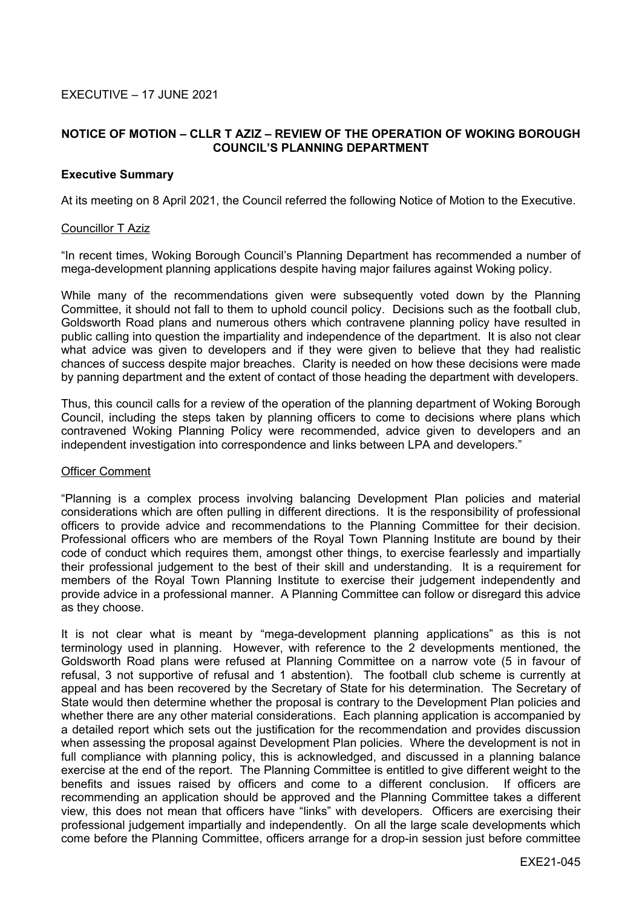# **NOTICE OF MOTION – CLLR T AZIZ – REVIEW OF THE OPERATION OF WOKING BOROUGH COUNCIL'S PLANNING DEPARTMENT**

## **Executive Summary**

At its meeting on 8 April 2021, the Council referred the following Notice of Motion to the Executive.

#### Councillor T Aziz

"In recent times, Woking Borough Council's Planning Department has recommended a number of mega-development planning applications despite having major failures against Woking policy.

While many of the recommendations given were subsequently voted down by the Planning Committee, it should not fall to them to uphold council policy. Decisions such as the football club, Goldsworth Road plans and numerous others which contravene planning policy have resulted in public calling into question the impartiality and independence of the department. It is also not clear what advice was given to developers and if they were given to believe that they had realistic chances of success despite major breaches. Clarity is needed on how these decisions were made by panning department and the extent of contact of those heading the department with developers.

Thus, this council calls for a review of the operation of the planning department of Woking Borough Council, including the steps taken by planning officers to come to decisions where plans which contravened Woking Planning Policy were recommended, advice given to developers and an independent investigation into correspondence and links between LPA and developers."

### Officer Comment

"Planning is a complex process involving balancing Development Plan policies and material considerations which are often pulling in different directions. It is the responsibility of professional officers to provide advice and recommendations to the Planning Committee for their decision. Professional officers who are members of the Royal Town Planning Institute are bound by their code of conduct which requires them, amongst other things, to exercise fearlessly and impartially their professional judgement to the best of their skill and understanding. It is a requirement for members of the Royal Town Planning Institute to exercise their judgement independently and provide advice in a professional manner. A Planning Committee can follow or disregard this advice as they choose.

It is not clear what is meant by "mega-development planning applications" as this is not terminology used in planning. However, with reference to the 2 developments mentioned, the Goldsworth Road plans were refused at Planning Committee on a narrow vote (5 in favour of refusal, 3 not supportive of refusal and 1 abstention). The football club scheme is currently at appeal and has been recovered by the Secretary of State for his determination. The Secretary of State would then determine whether the proposal is contrary to the Development Plan policies and whether there are any other material considerations. Each planning application is accompanied by a detailed report which sets out the justification for the recommendation and provides discussion when assessing the proposal against Development Plan policies. Where the development is not in full compliance with planning policy, this is acknowledged, and discussed in a planning balance exercise at the end of the report. The Planning Committee is entitled to give different weight to the benefits and issues raised by officers and come to a different conclusion. If officers are recommending an application should be approved and the Planning Committee takes a different view, this does not mean that officers have "links" with developers. Officers are exercising their professional judgement impartially and independently. On all the large scale developments which come before the Planning Committee, officers arrange for a drop-in session just before committee